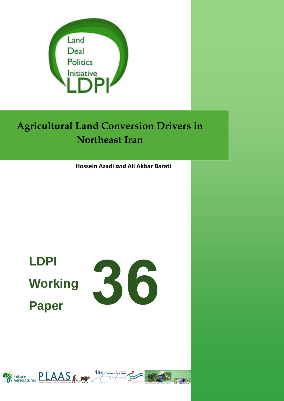

# **Agricultural Land Conversion Drivers in Northeast Iran**

**Hossein Azadi** *and* **Ali Akbar Barati**

# **LDPI Working Paper**



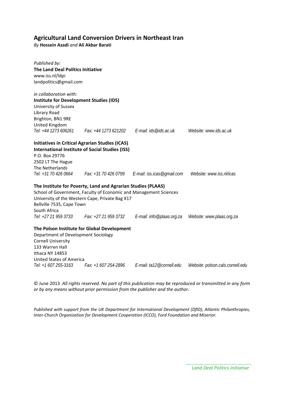# **Agricultural Land Conversion Drivers in Northeast Iran**

*By* **Hossein Azadi** *and* **Ali Akbar Barati**

| Published by:<br><b>The Land Deal Politics Initiative</b><br>www.iss.nl/ldpi<br>landpolitics@gmail.com                                                                          |                                                                                                                                                                                      |                                                      |                                  |
|---------------------------------------------------------------------------------------------------------------------------------------------------------------------------------|--------------------------------------------------------------------------------------------------------------------------------------------------------------------------------------|------------------------------------------------------|----------------------------------|
| in collaboration with:<br><b>Institute for Development Studies (IDS)</b><br>University of Sussex<br>Library Road<br>Brighton, BN1 9RE<br>United Kingdom<br>Tel: +44 1273 606261 | Fax: +44 1273 621202    E-mail: ids@ids.ac.uk                                                                                                                                        |                                                      | Website: www.ids.ac.uk           |
| P.O. Box 29776<br>2502 LT The Hague<br>The Netherlands<br>Tel: +31 70 426 0664                                                                                                  | <b>Initiatives in Critical Agrarian Studies (ICAS)</b><br><b>International Institute of Social Studies (ISS)</b>                                                                     | $Fax: +31$ 70 426 0799 $E$ -mail: iss.icas@gmail.com | Website: www.iss.nl/icas         |
| Bellville 7535, Cape Town<br>South Africa<br>Tel: +27 21 959 3733 Fax: +27 21 959 3732                                                                                          | The Institute for Poverty, Land and Agrarian Studies (PLAAS)<br>School of Government, Faculty of Economic and Management Sciences<br>University of the Western Cape, Private Bag X17 | E-mail: info@plaas.org.za                            | Website: www.plaas.org.za        |
| Department of Development Sociology<br><b>Cornell University</b><br>133 Warren Hall<br>Ithaca NY 14853<br><b>United States of America</b>                                       | The Polson Institute for Global Development                                                                                                                                          |                                                      |                                  |
| Tel: +1 607 255-3163                                                                                                                                                            | Fax: +1 607 254-2896                                                                                                                                                                 | E-mail: ta12@cornell.edu                             | Website: polson.cals.cornell.edu |

© June 2013 *All rights reserved. No part of this publication may be reproduced or transmitted in any form or by any means without prior permission from the publisher and the author.*

*Published with support from the UK Department for International Development (DfID), Atlantic Philanthropies, Inter‐Church Organization for Development Cooperation (ICCO), Ford Foundation and Miserior.*

 *Land Deal Politics Initiative*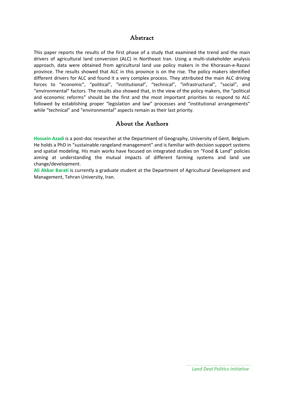# Abstract

This paper reports the results of the first phase of a study that examined the trend and the main drivers of agricultural land conversion (ALC) in Northeast Iran. Using a multi‐stakeholder analysis approach, data were obtained from agricultural land use policy makers in the Khorasan-e-Razavi province. The results showed that ALC in this province is on the rise. The policy makers identified different drivers for ALC and found it a very complex process. They attributed the main ALC driving forces to "economic", "political", "institutional", "technical", "infrastructural", "social", and "environmental" factors. The results also showed that, in the view of the policy makers, the "political and economic reforms" should be the first and the most important priorities to respond to ALC followed by establishing proper "legislation and law" processes and "institutional arrangements" while "technical" and "environmental" aspects remain as their last priority.

# About the Authors

**Hossein Azadi** is a post‐doc researcher at the Department of Geography, University of Gent, Belgium. He holds a PhD in "sustainable rangeland management" and is familiar with decision support systems and spatial modeling. His main works have focused on integrated studies on "Food & Land" policies aiming at understanding the mutual impacts of different farming systems and land use change/development.

**Ali Akbar Barati** is currently a graduate student at the Department of Agricultural Development and Management, Tehran University, Iran.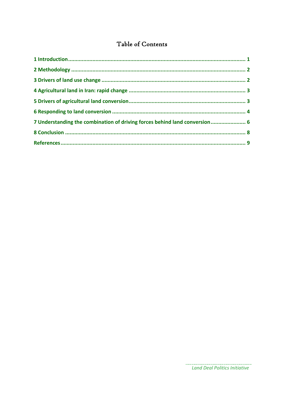# Table of Contents

| 7 Understanding the combination of driving forces behind land conversion 6 |  |
|----------------------------------------------------------------------------|--|
|                                                                            |  |
|                                                                            |  |

. . . . . . .

................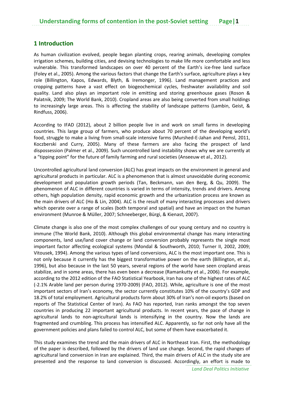#### **1 Introduction**

As human civilization evolved, people began planting crops, rearing animals, developing complex irrigation schemes, building cities, and devising technologies to make life more comfortable and less vulnerable. This transformed landscapes on over 40 percent of the Earth's ice-free land surface (Foley et al., 2005). Among the various factors that change the Earth's surface, agriculture plays a key role (Billington, Kapos, Edwards, Blyth, & Iremonger, 1996). Land management practices and cropping patterns have a vast effect on biogeochemical cycles, freshwater availability and soil quality. Land also plays an important role in emitting and storing greenhouse gases (Roson & Palatnik, 2009; The World Bank, 2010). Cropland areas are also being converted from small holdings to increasingly large areas. This is affecting the stability of landscape patterns (Lambin, Geist, & Rindfuss, 2006).

According to IFAD (2012), about 2 billion people live in and work on small farms in developing countries. This large group of farmers, who produce about 70 percent of the developing world's food, struggle to make a living from small‐scale intensive farms (Murshed‐E‐Jahan and Pemsl, 2011, Koczberski and Curry, 2005). Many of these farmers are also facing the prospect of land dispossession (Palmer et al., 2009). Such uncontrolled land instability shows why we are currently at a "tipping point" for the future of family farming and rural societies (Anseeuw et al., 2012).

Uncontrolled agricultural land conversion (ALC) has great impacts on the environment in general and agricultural products in particular. ALC is a phenomenon that is almost unavoidable during economic development and population growth periods (Tan, Beckmann, van den Berg, & Qu, 2009). The phenomenon of ALC in different countries is varied in terms of intensity, trends and drivers. Among others, high population density, rapid economic growth and the urbanization process are known as the main drivers of ALC (Ho & Lin, 2004). ALC is the result of many interacting processes and drivers which operate over a range of scales (both temporal and spatial) and have an impact on the human environment (Munroe & Müller, 2007; Schneeberger, Bürgi, & Kienast, 2007).

Climate change is also one of the most complex challenges of our young century and no country is immune (The World Bank, 2010). Although this global environmental change has many interacting components, land use/land cover change or land conversion probably represents the single most important factor affecting ecological systems (Mondal & Southworth, 2010; Turner II, 2002, 2009; Vitousek, 1994). Among the various types of land conversions, ALC is the most important one. This is not only because it currently has the biggest transformative power on the earth (Billington, et al., 1996), but also because in the last 50 years, several regions of the world have seen cropland areas stabilize, and in some areas, there has even been a decrease (Ramankutty et al., 2006). For example, according to the 2012 edition of the FAO Statistical Yearbook, Iran has one of the highest rates of ALC (‐2.1% Arable land per person during 1970‐2009) (FAO, 2012). While, agriculture is one of the most important sectors of Iran's economy, the sector currently constitutes 10% of the country's GDP and 18.2% of total employment. Agricultural products form about 30% of Iran's non‐oil exports (based on reports of The Statistical Center of Iran). As FAO has reported, Iran ranks amongst the top seven countries in producing 22 important agricultural products. In recent years, the pace of change in agricultural lands to non‐agricultural lands is intensifying in the country. Now the lands are fragmented and crumbling. This process has intensified ALC. Apparently, so far not only have all the government policies and plans failed to control ALC, but some of them have exacerbated it.

This study examines the trend and the main drivers of ALC in Northeast Iran. First, the methodology of the paper is described, followed by the drivers of land use change. Second, the rapid changes of agricultural land conversion in Iran are explained. Third, the main drivers of ALC in the study site are presented and the response to land conversion is discussed. Accordingly, an effort is made to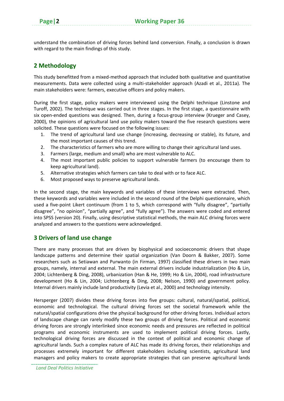understand the combination of driving forces behind land conversion. Finally, a conclusion is drawn with regard to the main findings of this study.

# **2 Methodology**

This study benefitted from a mixed-method approach that included both qualitative and quantitative measurements. Data were collected using a multi‐stakeholder approach (Azadi et al., 2011a). The main stakeholders were: farmers, executive officers and policy makers.

During the first stage, policy makers were interviewed using the Delphi technique (Linstone and Turoff, 2002). The technique was carried out in three stages. In the first stage, a questionnaire with six open-ended questions was designed. Then, during a focus-group interview (Krueger and Casey, 2000), the opinions of agricultural land use policy makers toward the five research questions were solicited. These questions were focused on the following issues:

- 1. The trend of agricultural land use change (increasing, decreasing or stable), its future, and the most important causes of this trend.
- 2. The characteristics of farmers who are more willing to change their agricultural land uses.
- 3. Farmers (large, medium and small) who are most vulnerable to ALC.
- 4. The most important public policies to support vulnerable farmers (to encourage them to keep agricultural land).
- 5. Alternative strategies which farmers can take to deal with or to face ALC.
- 6. Most proposed ways to preserve agricultural lands.

In the second stage, the main keywords and variables of these interviews were extracted. Then, these keywords and variables were included in the second round of the Delphi questionnaire, which used a five-point Likert continuum (from 1 to 5, which correspond with "fully disagree", "partially disagree", "no opinion", "partially agree", and "fully agree"). The answers were coded and entered into SPSS (version 20). Finally, using descriptive statistical methods, the main ALC driving forces were analyzed and answers to the questions were acknowledged.

# **3 Drivers of land use change**

There are many processes that are driven by biophysical and socioeconomic drivers that shape landscape patterns and determine their spatial organization (Van Doorn & Bakker, 2007). Some researchers such as Setiawan and Purwanto (in Firman, 1997) classified these drivers in two main groups, namely, internal and external. The main external drivers include industrialization (Ho & Lin, 2004; Lichtenberg & Ding, 2008), urbanization (Han & He, 1999; Ho & Lin, 2004), road infrastructure development (Ho & Lin, 2004; Lichtenberg & Ding, 2008; Nelson, 1990) and government policy. Internal drivers mainly include land productivity (Levia et al., 2000) and technology intensity.

Hersperger (2007) divides these driving forces into five groups: cultural, natural/spatial, political, economic and technological. The cultural driving forces set the societal framework while the natural/spatial configurations drive the physical background for other driving forces. Individual actors of landscape change can rarely modify these two groups of driving forces. Political and economic driving forces are strongly interlinked since economic needs and pressures are reflected in political programs and economic instruments are used to implement political driving forces. Lastly, technological driving forces are discussed in the context of political and economic change of agricultural lands. Such a complex nature of ALC has made its driving forces, their relationships and processes extremely important for different stakeholders including scientists, agricultural land managers and policy makers to create appropriate strategies that can preserve agricultural lands

*Land Deal Politics Initiative*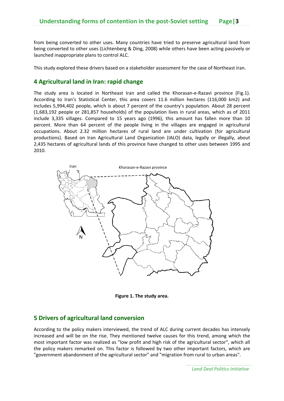from being converted to other uses. Many countries have tried to preserve agricultural land from being converted to other uses (Lichtenberg & Ding, 2008) while others have been acting passively or launched inappropriate plans to control ALC.

This study explored these drivers based on a stakeholder assessment for the case of Northeast Iran.

#### **4 Agricultural land in Iran: rapid change**

The study area is located in Northeast Iran and called the Khorasan-e-Razavi province (Fig.1). According to Iran's Statistical Center, this area covers 11.6 million hectares (116,000 km2) and includes 5,994,402 people, which is about 7 percent of the country's population. About 28 percent (1,683,192 people or 281,857 households) of the population lives in rural areas, which as of 2011 include 3,335 villages. Compared to 15 years ago (1996), this amount has fallen more than 10 percent. More than 64 percent of the people living in the villages are engaged in agricultural occupations. About 2.32 million hectares of rural land are under cultivation (for agricultural productions). Based on Iran Agricultural Land Organization (IALO) data, legally or illegally, about 2,435 hectares of agricultural lands of this province have changed to other uses between 1995 and 2010.



**Figure 1. The study area.**

#### **5 Drivers of agricultural land conversion**

According to the policy makers interviewed, the trend of ALC during current decades has intensely increased and will be on the rise. They mentioned twelve causes for this trend, among which the most important factor was realized as "low profit and high risk of the agricultural sector", which all the policy makers remarked on. This factor is followed by two other important factors, which are "government abandonment of the agricultural sector" and "migration from rural to urban areas".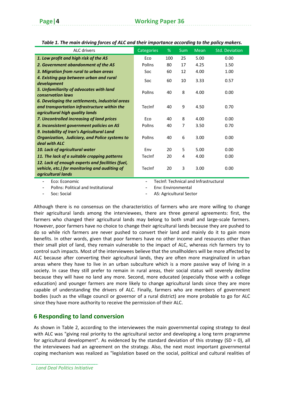| ALC drivers                                                                                                                        | Categories                            | %   | Sum | Mean | <b>Std. Deviation</b> |  |
|------------------------------------------------------------------------------------------------------------------------------------|---------------------------------------|-----|-----|------|-----------------------|--|
| 1. Low profit and high risk of the AS                                                                                              | Eco                                   | 100 | 25  | 5.00 | 0.00                  |  |
| 2. Government abandonment of the AS                                                                                                | Pollns                                | 80  | 17  | 4.25 | 1.50                  |  |
| 3. Migration from rural to urban areas                                                                                             | Soc                                   | 60  | 12  | 4.00 | 1.00                  |  |
| 4. Existing gap between urban and rural<br>development                                                                             | Soc                                   | 60  | 10  | 3.33 | 0.57                  |  |
| 5. Unfamiliarity of advocates with land<br><b>conservation laws</b>                                                                | Pollns                                | 40  | 8   | 4.00 | 0.00                  |  |
| 6. Developing the settlements, industrial areas<br>and transportation infrastructure within the<br>agricultural high quality lands | TecInf                                | 40  | 9   | 4.50 | 0.70                  |  |
| 7. Uncontrolled increasing of land prices                                                                                          | Eco                                   | 40  | 8   | 4.00 | 0.00                  |  |
| 8. Inconsistent government policies on AS                                                                                          | Pollns                                | 40  | 7   | 3.50 | 0.70                  |  |
| 9. Instability of Iran's Agricultural Land                                                                                         |                                       |     |     |      |                       |  |
| Organization, Judiciary, and Police systems to                                                                                     | Pollns                                | 40  | 6   | 3.00 | 0.00                  |  |
| deal with ALC<br>10. Lack of agricultural water                                                                                    | Env                                   | 20  | 5   | 5.00 | 0.00                  |  |
| 11. The lack of a suitable cropping patterns                                                                                       | TecInf                                | 20  | 4   | 4.00 | 0.00                  |  |
| 12. Lack of enough experts and facilities (fuel,<br>vehicle, etc.) for monitoring and auditing of<br>agricultural lands            | TecInf                                | 20  | 3   | 3.00 | 0.00                  |  |
| Eco: Economic                                                                                                                      | TecInf: Technical and Infrastructural |     |     |      |                       |  |

*Table 1. The main driving forces of ALC and their importance according to the policy makers.*

- Eco: Economic

PolIns: Political and Institutional

- TecInf: Technical and Infrastructural

- Env: Environmental

Soc: Social

AS: Agricultural Sector

Although there is no consensus on the characteristics of farmers who are more willing to change their agricultural lands among the interviewees, there are three general agreements: first, the farmers who changed their agricultural lands may belong to both small and large-scale farmers. However, poor farmers have no choice to change their agricultural lands because they are pushed to do so while rich farmers are never pushed to convert their land and mainly do it to gain more benefits. In other words, given that poor farmers have no other income and resources other than their small plot of land, they remain vulnerable to the impact of ALC, whereas rich farmers try to control such impacts. Most of the interviewees believe that the smallholders will be more affected by ALC because after converting their agricultural lands, they are often more marginalized in urban areas where they have to live in an urban subculture which is a more passive way of living in a society. In case they still prefer to remain in rural areas, their social status will severely decline because they will have no land any more. Second, more educated (especially those with a college education) and younger farmers are more likely to change agricultural lands since they are more capable of understanding the drivers of ALC. Finally, farmers who are members of government bodies (such as the village council or governor of a rural district) are more probable to go for ALC since they have more authority to receive the permission of their ALC.

# **6 Responding to land conversion**

As shown in Table 2, according to the interviewees the main governmental coping strategy to deal with ALC was "giving real priority to the agricultural sector and developing a long term programme for agricultural development". As evidenced by the standard deviation of this strategy (SD = 0), all the interviewees had an agreement on the strategy. Also, the next most important governmental coping mechanism was realized as "legislation based on the social, political and cultural realities of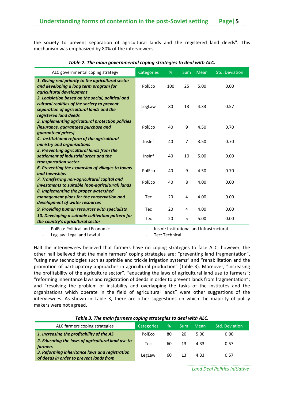the society to prevent separation of agricultural lands and the registered land deeds". This mechanism was emphasized by 80% of the interviewees.

| ALC governmental coping strategy                                                                                                                                       | Categories | %   | <b>Sum</b>     | <b>Mean</b> | Std. Deviation |
|------------------------------------------------------------------------------------------------------------------------------------------------------------------------|------------|-----|----------------|-------------|----------------|
| 1. Giving real priority to the agricultural sector<br>and developing a long term program for<br>agricultural development                                               | PolEco     | 100 | 25             | 5.00        | 0.00           |
| 2. Legislation based on the social, political and<br>cultural realities of the society to prevent<br>separation of agricultural lands and the<br>registered land deeds | LegLaw     | 80  | 13             | 4.33        | 0.57           |
| 3. Implementing agricultural protection policies<br>(insurance, guaranteed purchase and<br>quaranteed prices)                                                          | PolEco     | 40  | 9              | 4.50        | 0.70           |
| 4. Institutional reform of the agricultural<br>ministry and organizations                                                                                              | Insinf     | 40  | $\overline{7}$ | 3.50        | 0.70           |
| 5. Preventing agricultural lands from the<br>settlement of industrial areas and the<br>transportation sector                                                           | Insinf     | 40  | 10             | 5.00        | 0.00           |
| 6. Preventing the expansion of villages to towns<br>and townships                                                                                                      | PolEco     | 40  | 9              | 4.50        | 0.70           |
| 7. Transferring non-agricultural capital and<br>investments to suitable (non-agricultural) lands                                                                       | PolEco     | 40  | 8              | 4.00        | 0.00           |
| 8. Implementing the proper watershed<br>management plans for the conservation and<br>development of water resources                                                    | Tec        | 20  | 4              | 4.00        | 0.00           |
| 9. Providing human resources with specialists                                                                                                                          | Tec        | 20  | 4              | 4.00        | 0.00           |
| 10. Developing a suitable cultivation pattern for<br>the country's agricultural sector                                                                                 | Tec        | 20  | 5              | 5.00        | 0.00           |

#### *Table 2. The main governmental coping strategies to deal with ALC.*

- PolEco: Political and Economic

- InsInf: Institutional and Infrastructural

LegLaw: Legal and Lawful

Tec: Technical

Half the interviewees believed that farmers have no coping strategies to face ALC; however, the other half believed that the main farmers' coping strategies are: "preventing land fragmentation", "using new technologies such as sprinkle and trickle irrigation systems" and "rehabilitation and the promotion of participatory approaches in agricultural production" (Table 3). Moreover, "increasing the profitability of the agriculture sector", "educating the laws of agricultural land use to farmers"; "reforming inheritance laws and registration of deeds in order to prevent lands from fragmentation"; and "resolving the problem of instability and overlapping the tasks of the institutes and the organizations which operate in the field of agricultural lands" were other suggestions of the interviewees. As shown in Table 3, there are other suggestions on which the majority of policy makers were not agreed.

| ALC farmers coping strategies                                                             | Categories <sup>1</sup> | %  | Sum | Mean | <b>Std. Deviation</b> |  |  |
|-------------------------------------------------------------------------------------------|-------------------------|----|-----|------|-----------------------|--|--|
| 1. Increasing the profitability of the AS                                                 | PolEco                  | 80 | 20  | 5.00 | 0.00                  |  |  |
| 2. Educating the laws of agricultural land use to<br>farmers                              | Tec                     | 60 | 13  | 433  | 0.57                  |  |  |
| 3. Reforming inheritance laws and registration<br>of deeds in order to prevent lands from | LegLaw                  | 60 | 13  | 4.33 | 0.57                  |  |  |

#### *Table 3. The main farmers coping strategies to deal with ALC.*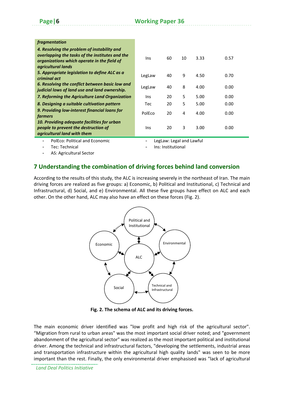| <i>fragmentation</i>                                                                                                                                                |            |    |    |      |      |  |
|---------------------------------------------------------------------------------------------------------------------------------------------------------------------|------------|----|----|------|------|--|
| 4. Resolving the problem of instability and<br>overlapping the tasks of the institutes and the<br>organizations which operate in the field of<br>agricultural lands | <b>Ins</b> | 60 | 10 | 3.33 | 0.57 |  |
| 5. Appropriate legislation to define ALC as a<br>criminal act                                                                                                       | LegLaw     | 40 | 9  | 4.50 | 0.70 |  |
| 6. Resolving the conflict between basic low and<br>judicial lows of land use and land ownership.                                                                    | LegLaw     | 40 | 8  | 4.00 | 0.00 |  |
| 7. Reforming the Agriculture Land Organization                                                                                                                      | Ins        | 20 | 5. | 5.00 | 0.00 |  |
| 8. Designing a suitable cultivation pattern                                                                                                                         | Tec        | 20 | 5  | 5.00 | 0.00 |  |
| 9. Providing low-interest financial loans for<br>farmers                                                                                                            | PolEco     | 20 | 4  | 4.00 | 0.00 |  |
| 10. Providing adequate facilities for urban<br>people to prevent the destruction of<br>agricultural land with them                                                  | <b>Ins</b> | 20 | 3  | 3.00 | 0.00 |  |
|                                                                                                                                                                     | .          |    |    |      |      |  |

- PolEco: Political and Economic

LegLaw: Legal and Lawful

Ins: Institutional

- Tec: Technical
- AS: Agricultural Sector

# **7 Understanding the combination of driving forces behind land conversion**

According to the results of this study, the ALC is increasing severely in the northeast of Iran. The main driving forces are realized as five groups: a) Economic, b) Political and Institutional, c) Technical and Infrastructural, d) Social, and e) Environmental. All these five groups have effect on ALC and each other. On the other hand, ALC may also have an effect on these forces (Fig. 2).



**Fig. 2. The schema of ALC and its driving forces.**

The main economic driver identified was "low profit and high risk of the agricultural sector". "Migration from rural to urban areas" was the most important social driver noted; and "government abandonment of the agricultural sector" was realized as the most important political and institutional driver. Among the technical and infrastructural factors, "developing the settlements, industrial areas and transportation infrastructure within the agricultural high quality lands" was seen to be more important than the rest. Finally, the only environmental driver emphasised was "lack of agricultural

*Land Deal Politics Initiative*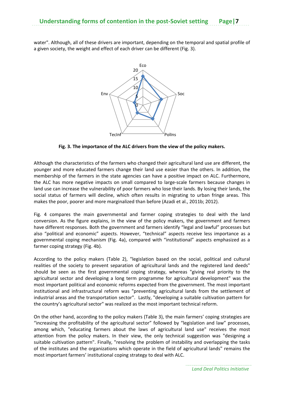water". Although, all of these drivers are important, depending on the temporal and spatial profile of a given society, the weight and effect of each driver can be different (Fig. 3).



**Fig. 3. The importance of the ALC drivers from the view of the policy makers.**

Although the characteristics of the farmers who changed their agricultural land use are different, the younger and more educated farmers change their land use easier than the others. In addition, the membership of the farmers in the state agencies can have a positive impact on ALC. Furthermore, the ALC has more negative impacts on small compared to large‐scale farmers because changes in land use can increase the vulnerability of poor farmers who lose their lands. By losing their lands, the social status of farmers will decline, which often results in migrating to urban fringe areas. This makes the poor, poorer and more marginalized than before (Azadi et al., 2011b; 2012).

Fig. 4 compares the main governmental and farmer coping strategies to deal with the land conversion. As the figure explains, in the view of the policy makers, the government and farmers have different responses. Both the government and farmers identify "legal and lawful" processes but also "political and economic" aspects. However, "technical" aspects receive less importance as a governmental coping mechanism (Fig. 4a), compared with "institutional" aspects emphasized as a farmer coping strategy (Fig. 4b).

According to the policy makers (Table 2), "legislation based on the social, political and cultural realities of the society to prevent separation of agricultural lands and the registered land deeds" should be seen as the first governmental coping strategy, whereas "giving real priority to the agricultural sector and developing a long term programme for agricultural development" was the most important political and economic reforms expected from the government. The most important institutional and infrastructural reform was "preventing agricultural lands from the settlement of industrial areas and the transportation sector". Lastly, "developing a suitable cultivation pattern for the country's agricultural sector" was realized as the most important technical reform.

On the other hand, according to the policy makers (Table 3), the main farmers' coping strategies are "increasing the profitability of the agricultural sector" followed by "legislation and law" processes, among which, "educating farmers about the laws of agricultural land use" receives the most attention from the policy makers. In their view, the only technical suggestion was "designing a suitable cultivation pattern". Finally, "resolving the problem of instability and overlapping the tasks of the institutes and the organizations which operate in the field of agricultural lands" remains the most important farmers' institutional coping strategy to deal with ALC.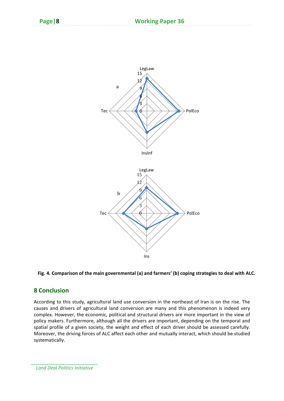

#### **Fig. 4. Comparison of the main governmental (a) and farmers' (b) coping strategies to deal with ALC.**

#### **8 Conclusion**

According to this study, agricultural land use conversion in the northeast of Iran is on the rise. The causes and drivers of agricultural land conversion are many and this phenomenon is indeed very complex. However, the economic, political and structural drivers are more important in the view of policy makers. Furthermore, although all the drivers are important, depending on the temporal and spatial profile of a given society, the weight and effect of each driver should be assessed carefully. Moreover, the driving forces of ALC affect each other and mutually interact, which should be studied systematically.

*Land Deal Politics Initiative*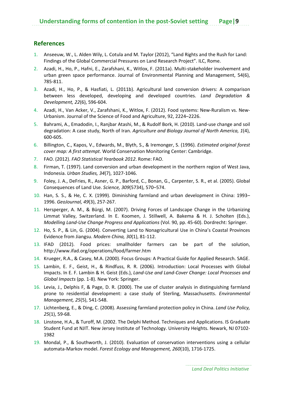# **References**

- 1. Anseeuw, W., L. Alden Wily, L. Cotula and M. Taylor (2012), "Land Rights and the Rush for Land: Findings of the Global Commercial Pressures on Land Research Project". ILC, Rome.
- 2. Azadi, H., Ho, P., Hafni, E., Zarafshani, K., Witlox, F. (2011a). Multi‐stakeholder involvement and urban green space performance. Journal of Environmental Planning and Management, 54(6), 785‐811.
- 3. Azadi, H., Ho, P., & Hasfiati, L. (2011b). Agricultural land conversion drivers: A comparison between less developed, developing and developed countries. *Land Degradation & Development, 22*(6), 596‐604.
- 4. Azadi, H., Van Acker, V., Zarafshani, K., Witlox, F. (2012). Food systems: New‐Ruralism vs. New‐ Urbanism. Journal of the Science of Food and Agriculture, 92, 2224–2226.
- 5. Bahrami, A., Emadodin, I., Ranjbar Atashi, M., & Rudolf Bork, H. (2010). Land-use change and soil degradation: A case study, North of Iran. *Agriculture and Biology Journal of North America, 1*(4), 600‐605.
- 6. Billington, C., Kapos, V., Edwards, M., Blyth, S., & Iremonger, S. (1996). *Estimated original forest cover map: A first attempt*. World Conservation Monitoring Center: Cambridge.
- 7. FAO. (2012). *FAO Statistical Yearbook 2012*. Rome: FAO.
- 8. Firman, T. (1997). Land conversion and urban development in the northern region of West Java, Indonesia. *Urban Studies, 34*(7), 1027‐1046.
- 9. Foley, J. A., DeFries, R., Asner, G. P., Barford, C., Bonan, G., Carpenter, S. R., et al. (2005). Global Consequences of Land Use. *Science, 309*(5734), 570–574.
- 10. Han, S. S., & He, C. X. (1999). Diminishing farmland and urban development in China: 1993– 1996. *GeoJournal, 49*(3), 257‐267.
- 11. Hersperger, A. M., & Bürgi, M. (2007). Driving Forces of Landscape Change in the Urbanizing Limmat Valley, Switzerland. In E. Koomen, J. Stillwell, A. Bakema & H. J. Scholten (Eds.), *Modelling Land‐Use Change Progress and Applications* (Vol. 90, pp. 45‐60). Dordrecht: Springer.
- 12. Ho, S. P., & Lin, G. (2004). Converting Land to Nonagricultural Use in China's Coastal Provinces Evidence from Jiangsu. *Modern China, 30*(1), 81‐112.
- 13. IFAD (2012). Food prices: smallholder farmers can be part of the solution, http://www.ifad.org/operations/food/farmer.htm
- 14. Krueger, R.A., & Casey, M.A. (2000). Focus Groups: A Practical Guide for Applied Research. SAGE.
- 15. Lambin, E. F., Geist, H., & Rindfuss, R. R. (2006). Introduction: Local Processes with Global Impacts. In E. F. Lambin & H. Geist (Eds.), *Land‐Use and Land‐Cover Change: Local Processes and Global Impacts* (pp. 1‐8). New York: Springer.
- 16. Levia, J., Delphis F, & Page, D. R. (2000). The use of cluster analysis in distinguishing farmland prone to residential development: a case study of Sterling, Massachusetts. *Environmental Management, 25*(5), 541‐548.
- 17. Lichtenberg, E., & Ding, C. (2008). Assessing farmland protection policy in China. *Land Use Policy, 25*(1), 59‐68.
- 18. Linstone, H.A., & Turoff, M. (2002. The Delphi Method. Techniques and Applications. IS Graduate Student Fund at NJIT. New Jersey Institute of Technology. University Heights. Newark, NJ 07102‐ 1982
- 19. Mondal, P., & Southworth, J. (2010). Evaluation of conservation interventions using a cellular automata‐Markov model. *Forest Ecology and Management, 260*(10), 1716‐1725.

 *Land Deal Politics Initiative*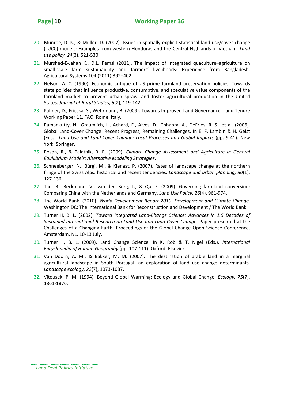- 20. Munroe, D. K., & Müller, D. (2007). Issues in spatially explicit statistical land‐use/cover change (LUCC) models: Examples from western Honduras and the Central Highlands of Vietnam. *Land use policy, 24*(3), 521‐530.
- 21. Murshed-E-Jahan K., D.L. Pemsl (2011). The impact of integrated quaculture–agriculture on small-scale farm sustainability and farmers' livelihoods: Experience from Bangladesh, Agricultural Systems 104 (2011):392–402.
- 22. Nelson, A. C. (1990). Economic critique of US prime farmland preservation policies: Towards state policies that influence productive, consumptive, and speculative value components of the farmland market to prevent urban sprawl and foster agricultural production in the United States. *Journal of Rural Studies, 6*(2), 119‐142.
- 23. Palmer, D., Fricska, S., Wehrmann, B. (2009). Towards Improved Land Governance. Land Tenure Working Paper 11. FAO. Rome: Italy.
- 24. Ramankutty, N., Graumlich, L., Achard, F., Alves, D., Chhabra, A., DeFries, R. S., et al. (2006). Global Land‐Cover Change: Recent Progress, Remaining Challenges. In E. F. Lambin & H. Geist (Eds.), *Land‐Use and Land‐Cover Change: Local Processes and Global Impacts* (pp. 9‐41). New York: Springer.
- 25. Roson, R., & Palatnik, R. R. (2009). *Climate Change Assessment and Agriculture in General Equilibrium Models: Alternative Modeling Strategies*.
- 26. Schneeberger, N., Bürgi, M., & Kienast, P. (2007). Rates of landscape change at the northern fringe of the Swiss Alps: historical and recent tendencies. *Landscape and urban planning, 80*(1), 127‐136.
- 27. Tan, R., Beckmann, V., van den Berg, L., & Qu, F. (2009). Governing farmland conversion: Comparing China with the Netherlands and Germany. *Land Use Policy, 26*(4), 961‐974.
- 28. The World Bank. (2010). *World Development Report 2010: Development and Climate Change*. Washington DC: The International Bank for Reconstruction and Development / The World Bank
- 29. Turner II, B. L. (2002). *Toward Integrated Land‐Change Science: Advances in 1.5 Decades of Sustained International Research on Land‐Use and Land‐Cover Change.* Paper presented at the Challenges of a Changing Earth: Proceedings of the Global Change Open Science Conference, Amsterdam, NL, 10‐13 July.
- 30. Turner II, B. L. (2009). Land Change Science. In K. Rob & T. Nigel (Eds.), *International Encyclopedia of Human Geography* (pp. 107‐111). Oxford: Elsevier.
- 31. Van Doorn, A. M., & Bakker, M. M. (2007). The destination of arable land in a marginal agricultural landscape in South Portugal: an exploration of land use change determinants. *Landscape ecology, 22*(7), 1073‐1087.
- 32. Vitousek, P. M. (1994). Beyond Global Warming: Ecology and Global Change. *Ecology, 75*(7), 1861‐1876.